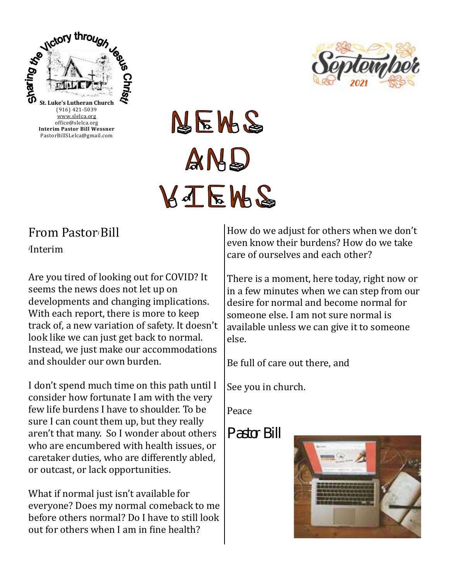



# **AEME**  $AMS$ KJEMS

# From Pastor*i* Bill *<sup>i</sup>*Interim

Are you tired of looking out for COVID? It seems the news does not let up on developments and changing implications. With each report, there is more to keep track of, a new variation of safety. It doesn't look like we can just get back to normal. Instead, we just make our accommodations and shoulder our own burden.

I don't spend much time on this path until I consider how fortunate I am with the very few life burdens I have to shoulder. To be sure I can count them up, but they really aren't that many. So I wonder about others who are encumbered with health issues, or caretaker duties, who are differently abled, or outcast, or lack opportunities.

What if normal just isn't available for everyone? Does my normal comeback to me before others normal? Do I have to still look out for others when I am in fine health?

How do we adjust for others when we don't even know their burdens? How do we take care of ourselves and each other?

There is a moment, here today, right now or in a few minutes when we can step from our desire for normal and become normal for someone else. I am not sure normal is available unless we can give it to someone else.

Be full of care out there, and

See you in church.

Peace

*Pastor Bill*

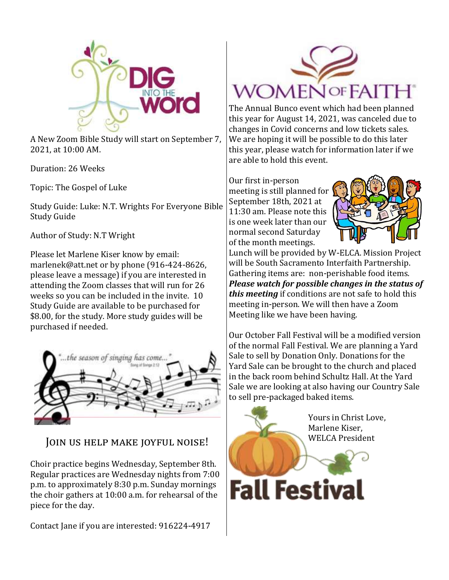

A New Zoom Bible Study will start on September 7, 2021, at 10:00 AM.

Duration: 26 Weeks

Topic: The Gospel of Luke

Study Guide: Luke: N.T. Wrights For Everyone Bible Study Guide

Author of Study: N.T Wright

Please let Marlene Kiser know by email: marlenek@att.net or by phone (916-424-8626, please leave a message) if you are interested in attending the Zoom classes that will run for 26 weeks so you can be included in the invite. 10 Study Guide are available to be purchased for \$8.00, for the study. More study guides will be purchased if needed.



## Join us help make joyful noise!

Choir practice begins Wednesday, September 8th. Regular practices are Wednesday nights from 7:00 p.m. to approximately 8:30 p.m. Sunday mornings the choir gathers at 10:00 a.m. for rehearsal of the piece for the day.

Contact Jane if you are interested: 916224-4917



The Annual Bunco event which had been planned this year for August 14, 2021, was canceled due to changes in Covid concerns and low tickets sales. We are hoping it will be possible to do this later this year, please watch for information later if we are able to hold this event.

Our first in-person meeting is still planned for September 18th, 2021 at 11:30 am. Please note this is one week later than our normal second Saturday of the month meetings.



Lunch will be provided by W-ELCA. Mission Project will be South Sacramento Interfaith Partnership. Gathering items are: non-perishable food items. *Please watch for possible changes in the status of this meeting* if conditions are not safe to hold this meeting in-person. We will then have a Zoom Meeting like we have been having.

Our October Fall Festival will be a modified version of the normal Fall Festival. We are planning a Yard Sale to sell by Donation Only. Donations for the Yard Sale can be brought to the church and placed in the back room behind Schultz Hall. At the Yard Sale we are looking at also having our Country Sale to sell pre-packaged baked items.

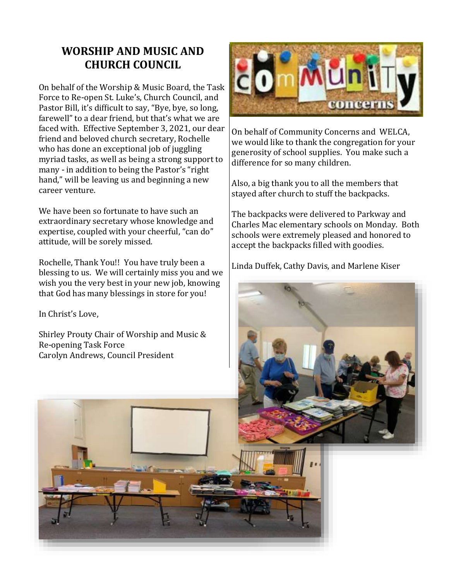# **WORSHIP AND MUSIC AND CHURCH COUNCIL**

On behalf of the Worship & Music Board, the Task Force to Re-open St. Luke's, Church Council, and Pastor Bill, it's difficult to say, "Bye, bye, so long, farewell" to a dear friend, but that's what we are faced with. Effective September 3, 2021, our dear friend and beloved church secretary, Rochelle who has done an exceptional job of juggling myriad tasks, as well as being a strong support to many - in addition to being the Pastor's "right hand," will be leaving us and beginning a new career venture.

We have been so fortunate to have such an extraordinary secretary whose knowledge and expertise, coupled with your cheerful, "can do" attitude, will be sorely missed.

Rochelle, Thank You!! You have truly been a blessing to us. We will certainly miss you and we wish you the very best in your new job, knowing that God has many blessings in store for you!

In Christ's Love,

Shirley Prouty Chair of Worship and Music & Re-opening Task Force Carolyn Andrews, Council President



On behalf of Community Concerns and WELCA, we would like to thank the congregation for your generosity of school supplies. You make such a difference for so many children.

Also, a big thank you to all the members that stayed after church to stuff the backpacks.

The backpacks were delivered to Parkway and Charles Mac elementary schools on Monday. Both schools were extremely pleased and honored to accept the backpacks filled with goodies.

Linda Duffek, Cathy Davis, and Marlene Kiser

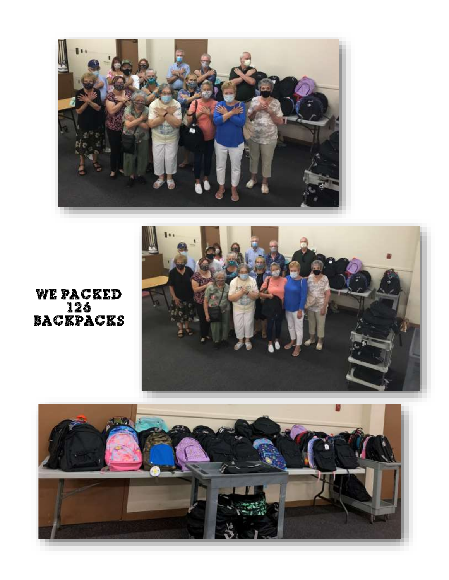

**WE PACKED** BACKPACKS



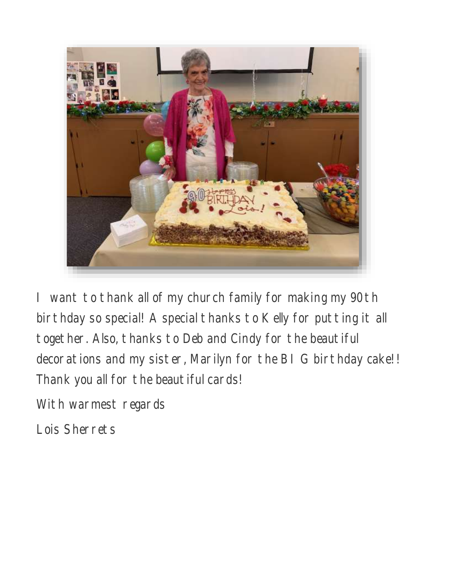

I want to thank all of my church family for making my 90th birthday so special! A special thanks to Kelly for putting it all together. Also, thanks to Deb and Cindy for the beautiful decorations and my sister, Marilyn for the BI G birthday cake!! Thank you all for the beautiful cards!

With warmest regards

Lois Sherrets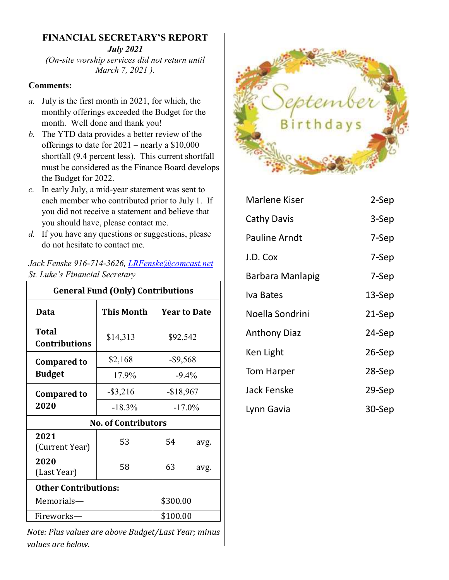### **FINANCIAL SECRETARY'S REPORT** *July 2021*

*(On-site worship services did not return until March 7, 2021 ).*

#### **Comments:**

- *a.* July is the first month in 2021, for which, the monthly offerings exceeded the Budget for the month. Well done and thank you!
- *b.* The YTD data provides a better review of the offerings to date for 2021 – nearly a \$10,000 shortfall (9.4 percent less). This current shortfall must be considered as the Finance Board develops the Budget for 2022.
- *c.* In early July, a mid-year statement was sent to each member who contributed prior to July 1. If you did not receive a statement and believe that you should have, please contact me.
- *d.* If you have any questions or suggestions, please do not hesitate to contact me.

#### *Jack Fenske 916-714-3626, [LRFenske@comcast.net](mailto:LRFenske@comcast.net) St. Luke's Financial Secretary*

| <b>General Fund (Only) Contributions</b> |                   |                         |      |  |
|------------------------------------------|-------------------|-------------------------|------|--|
| Data                                     | <b>This Month</b> | <b>Year to Date</b>     |      |  |
| <b>Total</b><br><b>Contributions</b>     | \$14,313          | \$92,542                |      |  |
| <b>Compared to</b>                       | \$2,168           | $-$ \$9,568<br>$-9.4\%$ |      |  |
| <b>Budget</b>                            | 17.9%             |                         |      |  |
| <b>Compared to</b><br>2020               | $-$ \$3,216       | $-$18,967$              |      |  |
|                                          | $-18.3\%$         | $-17.0\%$               |      |  |
| <b>No. of Contributors</b>               |                   |                         |      |  |
| 2021<br>(Current Year)                   | 53                | 54                      | avg. |  |
| 2020<br>(Last Year)                      | 58                | 63                      | avg. |  |
| <b>Other Contributions:</b>              |                   |                         |      |  |
| Memorials-                               | \$300.00          |                         |      |  |
| Fireworks-                               | \$100.00          |                         |      |  |

*Note: Plus values are above Budget/Last Year; minus values are below.* 



| <b>Marlene Kiser</b> | 2-Sep     |
|----------------------|-----------|
| Cathy Davis          | 3-Sep     |
| <b>Pauline Arndt</b> | 7-Sep     |
| J.D. Cox             | 7-Sep     |
| Barbara Manlapig     | 7-Sep     |
| Iva Bates            | $13-$ Sep |
| Noella Sondrini      | 21-Sep    |
| <b>Anthony Diaz</b>  | 24-Sep    |
| Ken Light            | $26-Sep$  |
| Tom Harper           | 28-Sep    |
| <b>Jack Fenske</b>   | 29-Sep    |
| Lynn Gavia           | 30-Sep    |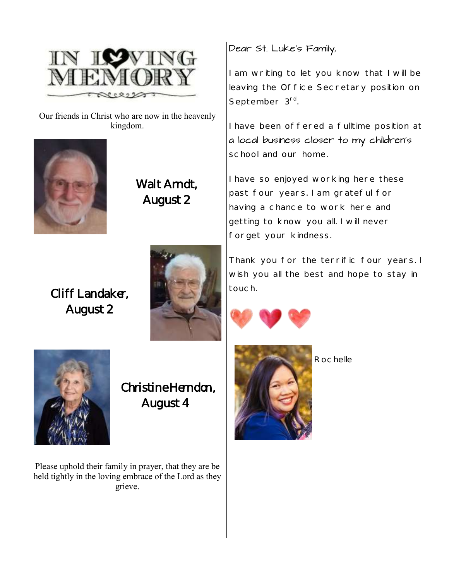

Our friends in Christ who are now in the heavenly kingdom.



Walt Arndt, August 2

Cliff Landaker, August 2



Dear St. Luke's Family,

I am writing to let you know that I will be leaving the Office Secretary position on September 3<sup>rd</sup>. .

I have been offered a fulltime position at a local business closer to my children's school and our home.

I have so enjoyed working here these past four years. I am grateful for having a chance to work here and getting to know you all. I will never forget your kindness.

Thank you for the terrific four years. I wish you all the best and hope to stay in touch.





Christine Herndon, August 4

Please uphold their family in prayer, that they are be held tightly in the loving embrace of the Lord as they grieve.



Rochelle